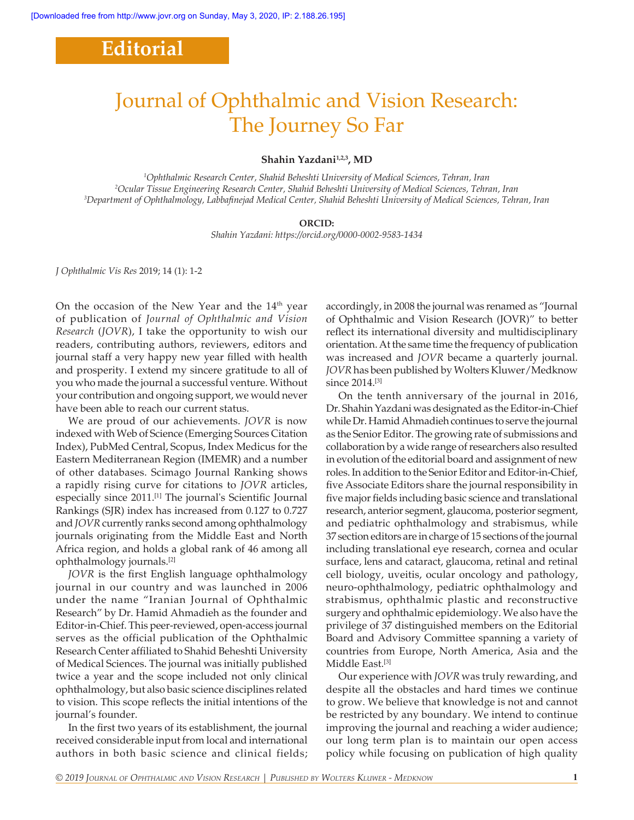## **Editorial**

# Journal of Ophthalmic and Vision Research: The Journey So Far

#### Shahin Yazdani<sup>1,2,3</sup>, MD

*1 Ophthalmic Research Center, Shahid Beheshti University of Medical Sciences, Tehran, Iran 2 Ocular Tissue Engineering Research Center, Shahid Beheshti University of Medical Sciences, Tehran, Iran 3 Department of Ophthalmology, Labbafinejad Medical Center, Shahid Beheshti University of Medical Sciences, Tehran, Iran*

#### **ORCID:**

*Shahin Yazdani: https://orcid.org/0000-0002-9583-1434*

*J Ophthalmic Vis Res* 2019; 14 (1): 1-2

On the occasion of the New Year and the 14<sup>th</sup> year of publication of *Journal of Ophthalmic and Vision Research* (*JOVR*), I take the opportunity to wish our readers, contributing authors, reviewers, editors and journal staff a very happy new year filled with health and prosperity. I extend my sincere gratitude to all of you who made the journal a successful venture. Without your contribution and ongoing support, we would never have been able to reach our current status.

We are proud of our achievements. *JOVR* is now indexed with Web of Science (Emerging Sources Citation Index), PubMed Central, Scopus, Index Medicus for the Eastern Mediterranean Region (IMEMR) and a number of other databases. Scimago Journal Ranking shows a rapidly rising curve for citations to *JOVR* articles, especially since 2011.<sup>[1]</sup> The journal's Scientific Journal Rankings (SJR) index has increased from 0.127 to 0.727 and *JOVR* currently ranks second among ophthalmology journals originating from the Middle East and North Africa region, and holds a global rank of 46 among all ophthalmology journals.[2]

*JOVR* is the first English language ophthalmology journal in our country and was launched in 2006 under the name "Iranian Journal of Ophthalmic Research" by Dr. Hamid Ahmadieh as the founder and Editor-in-Chief. This peer-reviewed, open-access journal serves as the official publication of the Ophthalmic Research Center affiliated to Shahid Beheshti University of Medical Sciences. The journal was initially published twice a year and the scope included not only clinical ophthalmology, but also basic science disciplines related to vision. This scope reflects the initial intentions of the journal's founder.

In the first two years of its establishment, the journal received considerable input from local and international authors in both basic science and clinical fields; accordingly, in 2008 the journal was renamed as "Journal of Ophthalmic and Vision Research (JOVR)" to better reflect its international diversity and multidisciplinary orientation. At the same time the frequency of publication was increased and *JOVR* became a quarterly journal. *JOVR* has been published by Wolters Kluwer/Medknow since 2014.<sup>[3]</sup>

On the tenth anniversary of the journal in 2016, Dr. Shahin Yazdani was designated as the Editor-in-Chief while Dr. Hamid Ahmadieh continues to serve the journal as the Senior Editor. The growing rate of submissions and collaboration by a wide range of researchers also resulted in evolution of the editorial board and assignment of new roles. In addition to the Senior Editor and Editor‑in‑Chief, five Associate Editors share the journal responsibility in five major fields including basic science and translational research, anterior segment, glaucoma, posterior segment, and pediatric ophthalmology and strabismus, while 37 section editors are in charge of 15 sections of the journal including translational eye research, cornea and ocular surface, lens and cataract, glaucoma, retinal and retinal cell biology, uveitis, ocular oncology and pathology, neuro-ophthalmology, pediatric ophthalmology and strabismus, ophthalmic plastic and reconstructive surgery and ophthalmic epidemiology. We also have the privilege of 37 distinguished members on the Editorial Board and Advisory Committee spanning a variety of countries from Europe, North America, Asia and the Middle East.<sup>[3]</sup>

Our experience with *JOVR* was truly rewarding, and despite all the obstacles and hard times we continue to grow. We believe that knowledge is not and cannot be restricted by any boundary. We intend to continue improving the journal and reaching a wider audience; our long term plan is to maintain our open access policy while focusing on publication of high quality